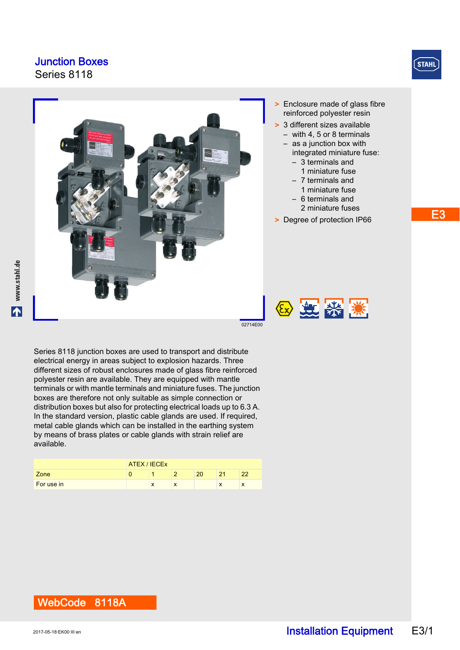Series 8118



E3



- > Enclosure made of glass fibre reinforced polyester resin
- > 3 different sizes available – with 4, 5 or 8 terminals
	- as a junction box with integrated miniature fuse:
		- 3 terminals and 1 miniature fuse
		- 7 terminals and
		- 1 miniature fuse
		- 6 terminals and 2 miniature fuses
- > Degree of protection IP66

2 芝紫溪

www.stahl.de

Series 8118 junction boxes are used to transport and distribute electrical energy in areas subject to explosion hazards. Three different sizes of robust enclosures made of glass fibre reinforced polyester resin are available. They are equipped with mantle terminals or with mantle terminals and miniature fuses. The junction boxes are therefore not only suitable as simple connection or distribution boxes but also for protecting electrical loads up to 6.3 A. In the standard version, plastic cable glands are used. If required, metal cable glands which can be installed in the earthing system by means of brass plates or cable glands with strain relief are available.

|            | ATEX / IECEX |  |   |    |    |  |
|------------|--------------|--|---|----|----|--|
| Zone       |              |  |   | 20 | 21 |  |
| For use in |              |  | л |    | ж  |  |
|            |              |  |   |    |    |  |

WebCode 8118A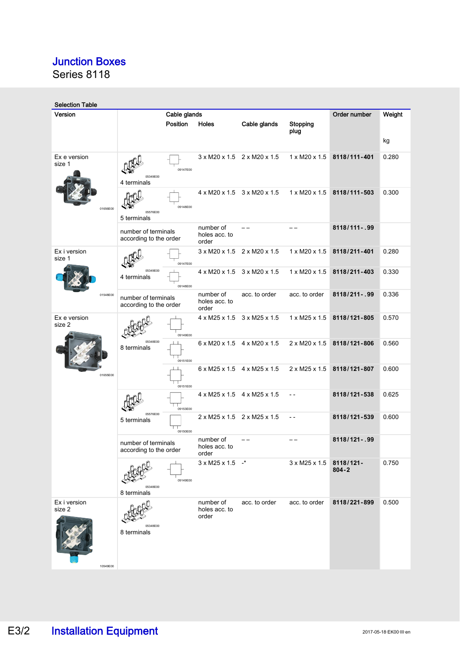Series 8118

| <b>Selection Table</b>             |                                               |              |                                                     |                                                     |                           |                        |        |  |
|------------------------------------|-----------------------------------------------|--------------|-----------------------------------------------------|-----------------------------------------------------|---------------------------|------------------------|--------|--|
| Version                            |                                               | Cable glands |                                                     |                                                     |                           | Order number           | Weight |  |
|                                    |                                               | Position     | Holes                                               | Cable glands                                        | Stopping<br>plug          |                        |        |  |
|                                    |                                               |              |                                                     |                                                     |                           |                        | kg     |  |
| Ex e version<br>size 1             | 05349E00<br>4 terminals                       | 09147E00     |                                                     | $3 \times M20 \times 1.5$ $2 \times M20 \times 1.5$ | $1 \times M20 \times 1.5$ | 8118/111-401           | 0.280  |  |
| 01656E00                           | 05576E00<br>5 terminals                       | 09148E00     |                                                     | 4 x M20 x 1.5 3 x M20 x 1.5                         | $1 \times M20 \times 1.5$ | 8118/111-503           | 0.300  |  |
|                                    | number of terminals<br>according to the order |              | number of<br>holes acc. to<br>order                 |                                                     |                           | 8118/111-.99           |        |  |
| Ex i version<br>size 1             |                                               | 09147E00     | 3 x M20 x 1.5 2 x M20 x 1.5                         |                                                     | 1 x M20 x 1.5             | 8118/211-401           | 0.280  |  |
|                                    | 05349E00<br>4 terminals                       | 09148E00     | 4 x M20 x 1.5 3 x M20 x 1.5                         |                                                     | 1 x M20 x 1.5             | 8118/211-403           | 0.330  |  |
| 01548E00                           | number of terminals<br>according to the order |              | number of<br>holes acc. to<br>order                 | acc. to order                                       | acc. to order             | 8118/211-.99           | 0.336  |  |
| Ex e version<br>size 2             |                                               | 09149E00     | $4 \times M25 \times 1.5$ 3 $\times M25 \times 1.5$ |                                                     | $1 \times M25 \times 1.5$ | 8118/121-805           | 0.570  |  |
|                                    | 05348E00<br>8 terminals                       | 09151E00     | 6 x M20 x 1.5 4 x M20 x 1.5                         |                                                     | 2 x M20 x 1.5             | 8118/121-806           | 0.560  |  |
| 01655E00                           |                                               | 09151E00     |                                                     | $6 \times M25 \times 1.5$ 4 $\times M25 \times 1.5$ | $2 \times M25 \times 1.5$ | 8118/121-807           | 0.600  |  |
|                                    |                                               | 09153E00     | $4 \times M25 \times 1.5$ $4 \times M25 \times 1.5$ |                                                     | $-$                       | 8118/121-538           | 0.625  |  |
|                                    | 05576E00<br>5 terminals                       | 09150E00     | $2 \times M25 \times 1.5$ 2 $\times M25 \times 1.5$ |                                                     | $ -$                      | 8118/121-539           | 0.600  |  |
|                                    | number of terminals<br>according to the order |              | number of<br>holes acc. to<br>order                 |                                                     |                           | 8118/121-.99           |        |  |
|                                    | 05348E00<br>8 terminals                       | 09149E00     | $3 \times M25 \times 1.5$ -*                        |                                                     | 3 x M25 x 1.5             | 8118/121-<br>$804 - 2$ | 0.750  |  |
| Ex i version<br>size 2<br>10549E00 | 05348E00<br>8 terminals                       |              | number of<br>holes acc. to<br>order                 | acc. to order                                       | acc. to order             | 8118/221-899           | 0.500  |  |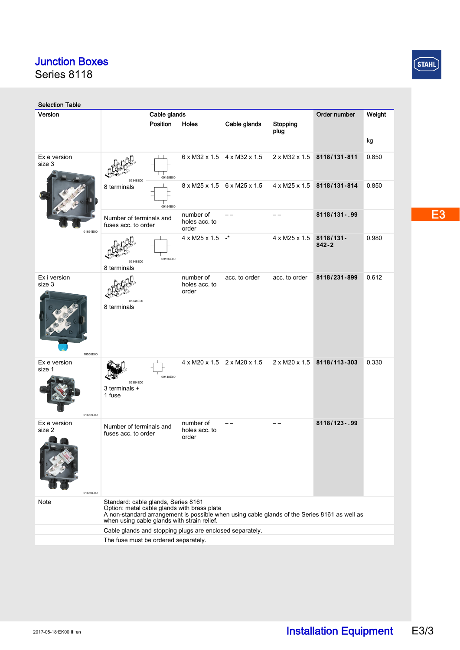Series 8118

| <b>Selection Table</b>             |                                                                                                                                                                                            |                                     |                                                     |                  |                           |        |  |
|------------------------------------|--------------------------------------------------------------------------------------------------------------------------------------------------------------------------------------------|-------------------------------------|-----------------------------------------------------|------------------|---------------------------|--------|--|
| Version                            | Cable glands<br>Position                                                                                                                                                                   |                                     |                                                     |                  | Order number              | Weight |  |
|                                    |                                                                                                                                                                                            | Holes                               | Cable glands                                        | Stopping<br>plug |                           |        |  |
|                                    |                                                                                                                                                                                            |                                     |                                                     |                  |                           | kg     |  |
| Ex e version<br>size 3             | 09155E00<br>05348E00                                                                                                                                                                       |                                     | $6 \times M32 \times 1.5$ 4 $\times M32 \times 1.5$ | 2 x M32 x 1.5    | 8118/131-811              | 0.850  |  |
|                                    | 8 terminals<br>09154E00                                                                                                                                                                    |                                     | 8 x M25 x 1.5 6 x M25 x 1.5                         | 4 x M25 x 1.5    | 8118/131-814              | 0.850  |  |
| 01654E00                           | Number of terminals and<br>fuses acc. to order                                                                                                                                             | number of<br>holes acc. to<br>order |                                                     |                  | 8118/131-.99              |        |  |
|                                    | 09156E00<br>05348E00<br>8 terminals                                                                                                                                                        | $4 \times M25 \times 1.5$ -*        |                                                     | 4 x M25 x 1.5    | $8118/131 -$<br>$842 - 2$ | 0.980  |  |
| Ex i version<br>size 3<br>10550E00 | 05348F00<br>8 terminals                                                                                                                                                                    | number of<br>holes acc. to<br>order | acc. to order                                       | acc. to order    | 8118/231-899              | 0.612  |  |
| Ex e version<br>size 1<br>01652E00 | 09148E00<br>05384E00<br>3 terminals +<br>1 fuse                                                                                                                                            |                                     | 4 x M20 x 1.5 2 x M20 x 1.5                         | 2 x M20 x 1.5    | 8118/113-303              | 0.330  |  |
| Ex e version<br>size 2             | Number of terminals and<br>fuses acc. to order                                                                                                                                             | number of<br>holes acc. to<br>order |                                                     |                  | 8118/123-.99              |        |  |
| 01650E00<br>Note                   | Standard: cable glands, Series 8161                                                                                                                                                        |                                     |                                                     |                  |                           |        |  |
|                                    | Option: metal cable glands with brass plate<br>A non-standard arrangement is possible when using cable glands of the Series 8161 as well as<br>when using cable glands with strain relief. |                                     |                                                     |                  |                           |        |  |
|                                    | Cable glands and stopping plugs are enclosed separately.                                                                                                                                   |                                     |                                                     |                  |                           |        |  |
|                                    | The fuse must be ordered separately.                                                                                                                                                       |                                     |                                                     |                  |                           |        |  |

 $STAHL$ 

E<sub>3</sub>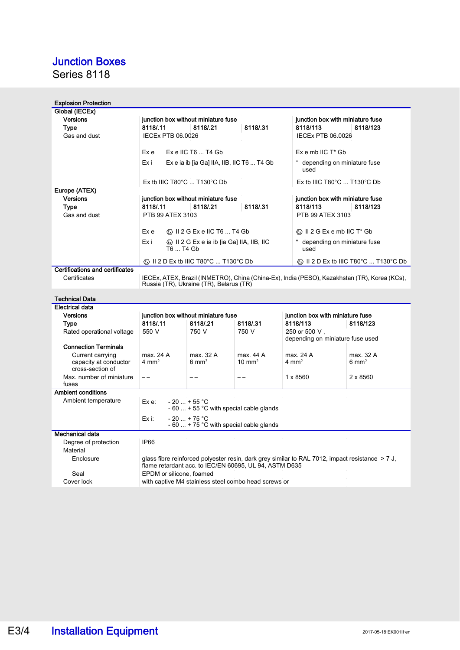Series 8118

| <b>Explosion Protection</b>               |                                                                     |                                                                                     |                   |                                                                                                 |                                                                                              |  |  |
|-------------------------------------------|---------------------------------------------------------------------|-------------------------------------------------------------------------------------|-------------------|-------------------------------------------------------------------------------------------------|----------------------------------------------------------------------------------------------|--|--|
| Global (IECEx)                            |                                                                     |                                                                                     |                   |                                                                                                 |                                                                                              |  |  |
| <b>Versions</b>                           |                                                                     | junction box without miniature fuse                                                 |                   | junction box with miniature fuse                                                                |                                                                                              |  |  |
| Type                                      | 8118/.11                                                            | 8118/.21                                                                            | 8118/113          | 8118/123                                                                                        |                                                                                              |  |  |
| Gas and dust                              | IECEx PTB 06.0026                                                   | IECEx PTB 06.0026                                                                   |                   |                                                                                                 |                                                                                              |  |  |
|                                           | Ex e                                                                | Ex e IIC T6  T4 Gb                                                                  |                   | $Ex$ e mb IIC $T^*$ Gb                                                                          |                                                                                              |  |  |
|                                           | Exi                                                                 | Ex e ia ib [ia Ga] IIA, IIB, IIC T6  T4 Gb<br>* depending on miniature fuse<br>used |                   |                                                                                                 |                                                                                              |  |  |
|                                           | Ex tb IIIC T80°C  T130°C Db                                         |                                                                                     |                   | Ex tb IIIC T80°C  T130°C Db                                                                     |                                                                                              |  |  |
| Europe (ATEX)                             |                                                                     |                                                                                     |                   |                                                                                                 |                                                                                              |  |  |
| <b>Versions</b>                           |                                                                     | junction box without miniature fuse                                                 |                   | junction box with miniature fuse                                                                |                                                                                              |  |  |
| Type                                      | 8118/.11                                                            | 8118/.21                                                                            | 8118/.31          | 8118/113                                                                                        | 8118/123                                                                                     |  |  |
| Gas and dust                              | PTB 99 ATEX 3103                                                    |                                                                                     |                   | PTB 99 ATEX 3103                                                                                |                                                                                              |  |  |
|                                           | Ex e                                                                |                                                                                     |                   | $\langle \overline{x} \rangle$ II 2 G Ex e mb IIC T* Gb                                         |                                                                                              |  |  |
|                                           | Exi<br>T6  T4 Gb                                                    | Ex il 2 G Ex e ia ib [ia Ga] IIA, IIB, IIC                                          |                   | * depending on miniature fuse<br>used                                                           |                                                                                              |  |  |
|                                           |                                                                     | ⓒ II 2 D Ex tb IIIC T80°C  T130°C Db                                                |                   |                                                                                                 | $\langle \overline{\mathbb{Q}} \rangle$ II 2 D Ex tb IIIC T80°C  T130°C Db                   |  |  |
| Certifications and certificates           |                                                                     |                                                                                     |                   |                                                                                                 |                                                                                              |  |  |
| Certificates                              |                                                                     | Russia (TR), Ukraine (TR), Belarus (TR)                                             |                   |                                                                                                 | IECEx, ATEX, Brazil (INMETRO), China (China-Ex), India (PESO), Kazakhstan (TR), Korea (KCs), |  |  |
| <b>Technical Data</b>                     |                                                                     |                                                                                     |                   |                                                                                                 |                                                                                              |  |  |
| <b>Electrical data</b>                    |                                                                     |                                                                                     |                   |                                                                                                 |                                                                                              |  |  |
| <b>Versions</b>                           |                                                                     | junction box without miniature fuse                                                 |                   | junction box with miniature fuse                                                                |                                                                                              |  |  |
| Type                                      | 8118/.11                                                            | 8118/.21                                                                            | 8118/.31          | 8118/113                                                                                        | 8118/123                                                                                     |  |  |
| Rated operational voltage                 | 550 V                                                               | 750 V                                                                               | 750 V             | 250 or 500 V.<br>depending on miniature fuse used                                               |                                                                                              |  |  |
| <b>Connection Terminals</b>               |                                                                     |                                                                                     |                   |                                                                                                 |                                                                                              |  |  |
| Current carrying                          | max. 24 A                                                           | max. 32 A                                                                           | max. 44 A         | max. 24 A                                                                                       | max. 32 A                                                                                    |  |  |
| capacity at conductor<br>cross-section of | 4 mm <sup>2</sup>                                                   | $6 \text{ mm}^2$                                                                    | $10 \text{ mm}^2$ | 4 mm <sup>2</sup>                                                                               | $6 \text{ mm}^2$                                                                             |  |  |
| Max. number of miniature<br>fuses         | $-$                                                                 | $ -$                                                                                | $ -$              | 1 x 8560                                                                                        | 2 x 8560                                                                                     |  |  |
| <b>Ambient conditions</b>                 |                                                                     |                                                                                     |                   |                                                                                                 |                                                                                              |  |  |
| Ambient temperature                       | Ex e:                                                               | $-20$ + 55 °C<br>$-60$ + 55 °C with special cable glands                            |                   |                                                                                                 |                                                                                              |  |  |
|                                           | $-20$ + 75 °C<br>$Ex$ i:<br>$-60$ + 75 °C with special cable glands |                                                                                     |                   |                                                                                                 |                                                                                              |  |  |
| Mechanical data                           |                                                                     |                                                                                     |                   |                                                                                                 |                                                                                              |  |  |
| Degree of protection                      | IP66                                                                |                                                                                     |                   |                                                                                                 |                                                                                              |  |  |
| Material                                  |                                                                     |                                                                                     |                   |                                                                                                 |                                                                                              |  |  |
| Enclosure                                 |                                                                     | flame retardant acc. to IEC/EN 60695, UL 94, ASTM D635                              |                   | glass fibre reinforced polyester resin, dark grey similar to RAL 7012, impact resistance > 7 J, |                                                                                              |  |  |
| Seal                                      | EPDM or silicone, foamed                                            |                                                                                     |                   |                                                                                                 |                                                                                              |  |  |
| Cover lock                                | with captive M4 stainless steel combo head screws or                |                                                                                     |                   |                                                                                                 |                                                                                              |  |  |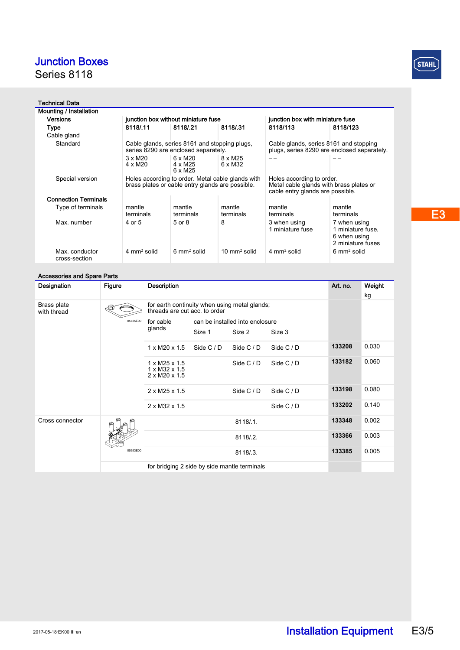Series 8118

### Technical Data

| Mounting / Installation         |                                                                                       |                                                                                                       |                         |                                                                                       |                                                                                                          |  |  |
|---------------------------------|---------------------------------------------------------------------------------------|-------------------------------------------------------------------------------------------------------|-------------------------|---------------------------------------------------------------------------------------|----------------------------------------------------------------------------------------------------------|--|--|
| <b>Versions</b>                 |                                                                                       | junction box without miniature fuse                                                                   |                         |                                                                                       | junction box with miniature fuse                                                                         |  |  |
| <b>Type</b>                     | 8118/11                                                                               | 8118/.21                                                                                              | 8118/.31                | 8118/113                                                                              | 8118/123                                                                                                 |  |  |
| Cable gland                     |                                                                                       |                                                                                                       |                         |                                                                                       |                                                                                                          |  |  |
| Standard                        | Cable glands, series 8161 and stopping plugs,<br>series 8290 are enclosed separately. |                                                                                                       |                         | Cable glands, series 8161 and stopping<br>plugs, series 8290 are enclosed separately. |                                                                                                          |  |  |
|                                 | $3 \times M20$<br>$4 \times M20$                                                      | $6 \times M20$<br>4 x M25<br>6 x M25                                                                  | 8 x M25<br>6 x M32      |                                                                                       |                                                                                                          |  |  |
| Special version                 |                                                                                       | Holes according to order. Metal cable glands with<br>brass plates or cable entry glands are possible. |                         |                                                                                       | Holes according to order.<br>Metal cable glands with brass plates or<br>cable entry glands are possible. |  |  |
| <b>Connection Terminals</b>     |                                                                                       |                                                                                                       |                         |                                                                                       |                                                                                                          |  |  |
| Type of terminals               | mantle<br>terminals                                                                   | mantle<br>terminals                                                                                   | mantle<br>terminals     | mantle<br>terminals                                                                   | mantle<br>terminals                                                                                      |  |  |
| Max. number                     | 4 or 5                                                                                | 5 or 8                                                                                                | 8                       | 3 when using<br>1 miniature fuse                                                      | 7 when using<br>1 miniature fuse,<br>6 when using<br>2 miniature fuses                                   |  |  |
| Max. conductor<br>cross-section | $4 \text{ mm}^2$ solid                                                                | $6 \text{ mm}^2$ solid                                                                                | $10 \text{ mm}^2$ solid | $4 \text{ mm}^2$ solid                                                                | $6 \text{ mm}^2$ solid                                                                                   |  |  |
|                                 |                                                                                       |                                                                                                       |                         |                                                                                       |                                                                                                          |  |  |

#### Accessories and Spare Parts

| Designation                | <b>Figure</b> | <b>Description</b>                                                                  |                                 |            |            | Art. no. | Weight |
|----------------------------|---------------|-------------------------------------------------------------------------------------|---------------------------------|------------|------------|----------|--------|
|                            |               |                                                                                     |                                 |            |            |          | kg     |
| Brass plate<br>with thread |               | for earth continuity when using metal glands;<br>threads are cut acc. to order      |                                 |            |            |          |        |
|                            | 05735E00      | for cable<br>glands                                                                 | can be installed into enclosure |            |            |          |        |
|                            |               |                                                                                     | Size 1                          | Size 2     | Size 3     |          |        |
|                            |               | $1 \times M20 \times 1.5$                                                           | Side C / D                      | Side C / D | Side C / D | 133208   | 0.030  |
|                            |               | $1 \times M25 \times 1.5$<br>$1 \times M32 \times 1.5$<br>$2 \times M20 \times 1.5$ |                                 | Side $C/D$ | Side C / D | 133182   | 0.060  |
|                            |               | $2 \times M25 \times 1.5$                                                           |                                 | Side $C/D$ | Side $C/D$ | 133198   | 0.080  |
|                            |               | $2 \times M32 \times 1.5$                                                           |                                 |            | Side C / D | 133202   | 0.140  |
| Cross connector            | 05353E00      |                                                                                     |                                 | 8118/.1.   |            | 133348   | 0.002  |
|                            |               |                                                                                     |                                 | 8118/.2.   |            | 133366   | 0.003  |
|                            |               |                                                                                     |                                 | 8118/.3.   |            | 133385   | 0.005  |
|                            |               | for bridging 2 side by side mantle terminals                                        |                                 |            |            |          |        |

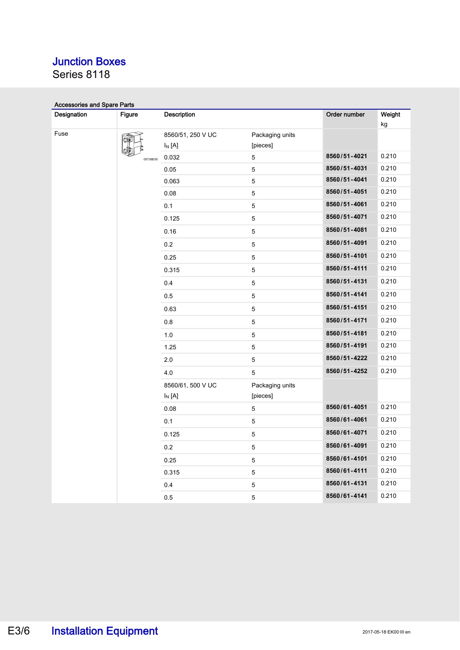Series 8118

| <b>Accessories and Spare Parts</b> |               |                   |                 |              |              |
|------------------------------------|---------------|-------------------|-----------------|--------------|--------------|
| Designation                        | <b>Figure</b> | Description       |                 | Order number | Weight<br>kg |
| Fuse                               |               | 8560/51, 250 V UC | Packaging units |              |              |
|                                    |               | $I_N[A]$          | [pieces]        |              |              |
|                                    | 05736E00      | 0.032             | 5               | 8560/51-4021 | 0.210        |
|                                    |               | 0.05              | 5               | 8560/51-4031 | 0.210        |
|                                    |               | 0.063             | $\sqrt{5}$      | 8560/51-4041 | 0.210        |
|                                    |               | 0.08              | 5               | 8560/51-4051 | 0.210        |
|                                    |               | 0.1               | $\sqrt{5}$      | 8560/51-4061 | 0.210        |
|                                    |               | 0.125             | $\sqrt{5}$      | 8560/51-4071 | 0.210        |
|                                    |               | 0.16              | 5               | 8560/51-4081 | 0.210        |
|                                    |               | 0.2               | 5               | 8560/51-4091 | 0.210        |
|                                    |               | 0.25              | 5               | 8560/51-4101 | 0.210        |
|                                    |               | 0.315             | $\sqrt{5}$      | 8560/51-4111 | 0.210        |
|                                    |               | 0.4               | $\sqrt{5}$      | 8560/51-4131 | 0.210        |
|                                    |               | 0.5               | $\mathbf 5$     | 8560/51-4141 | 0.210        |
|                                    |               | 0.63              | $\sqrt{5}$      | 8560/51-4151 | 0.210        |
|                                    |               | 0.8               | 5               | 8560/51-4171 | 0.210        |
|                                    |               | 1.0               | 5               | 8560/51-4181 | 0.210        |
|                                    |               | 1.25              | $\sqrt{5}$      | 8560/51-4191 | 0.210        |
|                                    |               | 2.0               | $\sqrt{5}$      | 8560/51-4222 | 0.210        |
|                                    |               | 4.0               | 5               | 8560/51-4252 | 0.210        |
|                                    |               | 8560/61, 500 V UC | Packaging units |              |              |
|                                    |               | $I_N[A]$          | [pieces]        |              |              |
|                                    |               | 0.08              | 5               | 8560/61-4051 | 0.210        |
|                                    |               | 0.1               | 5               | 8560/61-4061 | 0.210        |
|                                    |               | 0.125             | 5               | 8560/61-4071 | 0.210        |
|                                    |               | 0.2               | 5               | 8560/61-4091 | 0.210        |
|                                    |               | 0.25              | $\sqrt{5}$      | 8560/61-4101 | 0.210        |
|                                    |               | 0.315             | 5               | 8560/61-4111 | 0.210        |
|                                    |               | 0.4               | $\mathbf 5$     | 8560/61-4131 | 0.210        |
|                                    |               | 0.5               | 5               | 8560/61-4141 | 0.210        |